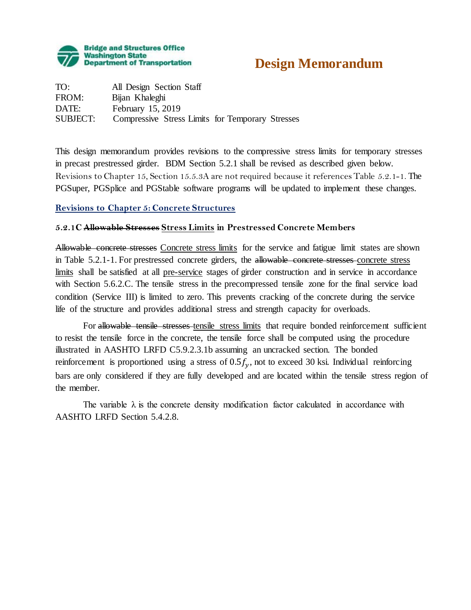

# **Design Memorandum**

TO: All Design Section Staff FROM: Bijan Khaleghi DATE: February 15, 2019 SUBJECT: Compressive Stress Limits for Temporary Stresses

This design memorandum provides revisions to the compressive stress limits for temporary stresses in precast prestressed girder. BDM Section 5.2.1 shall be revised as described given below. Revisions to Chapter 15, Section 15.5.3A are not required because it references Table 5.2.1-1. The PGSuper, PGSplice and PGStable software programs will be updated to implement these changes.

## **Revisions to Chapter 5: Concrete Structures**

## **5.2.1C Allowable Stresses Stress Limits in Prestressed Concrete Members**

Allowable concrete stresses Concrete stress limits for the service and fatigue limit states are shown in Table 5.2.1-1. For prestressed concrete girders, the allowable concrete stresses concrete stress limits shall be satisfied at all pre-service stages of girder construction and in service in accordance with Section 5.6.2.C. The tensile stress in the precompressed tensile zone for the final service load condition (Service III) is limited to zero. This prevents cracking of the concrete during the service life of the structure and provides additional stress and strength capacity for overloads.

For allowable tensile stresses tensile stress limits that require bonded reinforcement sufficient to resist the tensile force in the concrete, the tensile force shall be computed using the procedure illustrated in AASHTO LRFD C5.9.2.3.1b assuming an uncracked section. The bonded reinforcement is proportioned using a stress of  $0.5f_v$ , not to exceed 30 ksi. Individual reinforcing bars are only considered if they are fully developed and are located within the tensile stress region of the member.

The variable  $\lambda$  is the concrete density modification factor calculated in accordance with AASHTO LRFD Section 5.4.2.8.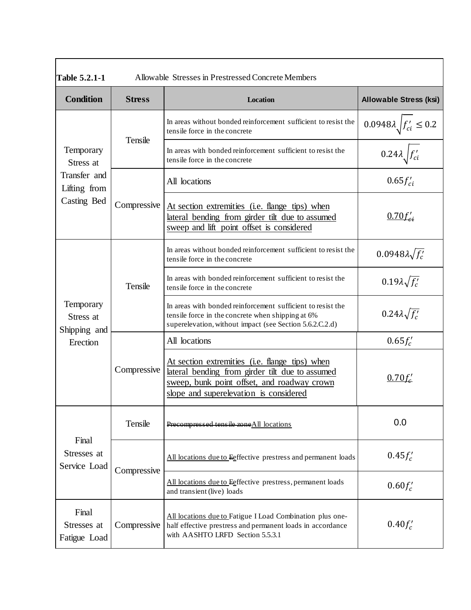| Allowable Stresses in Prestressed Concrete Members<br><b>Table 5.2.1-1</b> |               |                                                                                                                                                                                            |                                        |
|----------------------------------------------------------------------------|---------------|--------------------------------------------------------------------------------------------------------------------------------------------------------------------------------------------|----------------------------------------|
| <b>Condition</b>                                                           | <b>Stress</b> | Location                                                                                                                                                                                   | <b>Allowable Stress (ksi)</b>          |
| Temporary<br>Stress at<br>Transfer and<br>Lifting from<br>Casting Bed      | Tensile       | In areas without bonded reinforcement sufficient to resist the<br>tensile force in the concrete                                                                                            | $0.0948\lambda \sqrt{f'_{ci}} \le 0.2$ |
|                                                                            |               | In areas with bonded reinforcement sufficient to resist the<br>tensile force in the concrete                                                                                               | $0.24\lambda f_{ci}$                   |
|                                                                            | Compressive   | All locations                                                                                                                                                                              | $0.65 f_{ci}'$                         |
|                                                                            |               | At section extremities (i.e. flange tips) when<br>lateral bending from girder tilt due to assumed<br>sweep and lift point offset is considered                                             | $0.70 f_{ci}$                          |
| Temporary<br>Stress at<br>Shipping and<br>Erection                         | Tensile       | In areas without bonded reinforcement sufficient to resist the<br>tensile force in the concrete                                                                                            | $0.0948\lambda\sqrt{f'_c}$             |
|                                                                            |               | In areas with bonded reinforcement sufficient to resist the<br>tensile force in the concrete                                                                                               | $0.19\lambda\sqrt{f'_c}$               |
|                                                                            |               | In areas with bonded reinforcement sufficient to resist the<br>tensile force in the concrete when shipping at 6%<br>superelevation, without impact (see Section 5.6.2.C.2.d)               | $0.24\lambda\sqrt{f'_c}$               |
|                                                                            | Compressive   | All locations                                                                                                                                                                              | $0.65 f'_c$                            |
|                                                                            |               | At section extremities (i.e. flange tips) when<br>lateral bending from girder tilt due to assumed<br>sweep, bunk point offset, and roadway crown<br>slope and superelevation is considered | $0.70 f_c'$                            |
| Final<br>Stresses at<br>Service Load                                       | Tensile       | Precompressed tensile zoneAll locations                                                                                                                                                    | 0.0                                    |
|                                                                            | Compressive   | All locations due to Eeffective prestress and permanent loads                                                                                                                              | $0.45 f_c'$                            |
|                                                                            |               | All locations due to Eeffective prestress, permanent loads<br>and transient (live) loads                                                                                                   | $0.60 f_c'$                            |
| Final<br>Stresses at<br>Fatigue Load                                       | Compressive   | All locations due to Fatigue I Load Combination plus one-<br>half effective prestress and permanent loads in accordance<br>with AASHTO LRFD Section 5.5.3.1                                | $0.40 f'_c$                            |

٦

 $\Gamma$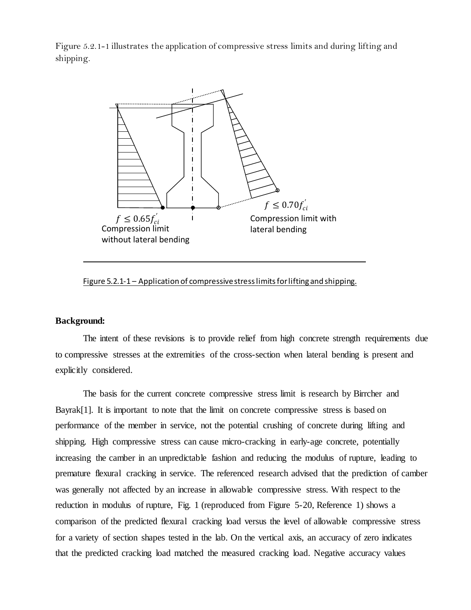Figure 5.2.1-1 illustrates the application of compressive stress limits and during lifting and shipping.



Figure 5.2.1-1 - Application of compressive stress limits for lifting and shipping.

#### **Background:**

The intent of these revisions is to provide relief from high concrete strength requirements due to compressive stresses at the extremities of the cross-section when lateral bending is present and explicitly considered.

The basis for the current concrete compressive stress limit is research by Birrcher and Bayrak<sup>[1]</sup>. It is important to note that the limit on concrete compressive stress is based on performance of the member in service, not the potential crushing of concrete during lifting and shipping. High compressive stress can cause micro-cracking in early-age concrete, potentially increasing the camber in an unpredictable fashion and reducing the modulus of rupture, leading to premature flexural cracking in service. The referenced research advised that the prediction of camber was generally not affected by an increase in allowable compressive stress. With respect to the reduction in modulus of rupture, Fig. 1 (reproduced from Figure 5-20, Reference 1) shows a comparison of the predicted flexural cracking load versus the level of allowable compressive stress for a variety of section shapes tested in the lab. On the vertical axis, an accuracy of zero indicates that the predicted cracking load matched the measured cracking load. Negative accuracy values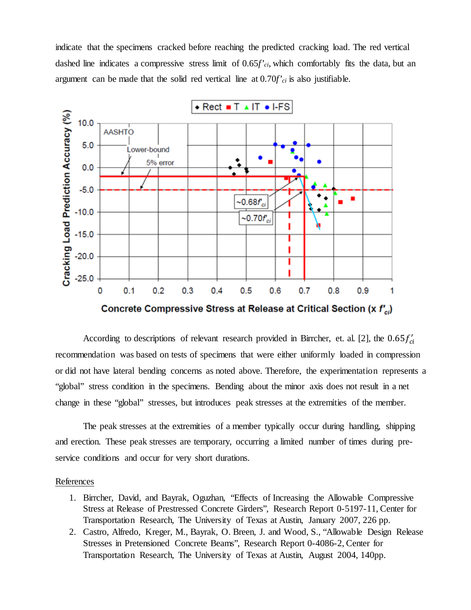indicate that the specimens cracked before reaching the predicted cracking load. The red vertical dashed line indicates a compressive stress limit of 0.65*f'ci*, which comfortably fits the data, but an argument can be made that the solid red vertical line at 0.70*f'ci* is also justifiable.



According to descriptions of relevant research provided in Birrcher, et. al. [2], the  $0.65 f'_{ci}$ recommendation was based on tests of specimens that were either uniformly loaded in compression or did not have lateral bending concerns as noted above. Therefore, the experimentation represents a "global" stress condition in the specimens. Bending about the minor axis does not result in a net change in these "global" stresses, but introduces peak stresses at the extremities of the member.

The peak stresses at the extremities of a member typically occur during handling, shipping and erection. These peak stresses are temporary, occurring a limited number of times during preservice conditions and occur for very short durations.

#### References

- 1. Birrcher, David, and Bayrak, Oguzhan, "Effects of Increasing the Allowable Compressive Stress at Release of Prestressed Concrete Girders", Research Report 0-5197-11, Center for Transportation Research, The University of Texas at Austin, January 2007, 226 pp.
- 2. Castro, Alfredo, Kreger, M., Bayrak, O. Breen, J. and Wood, S., "Allowable Design Release Stresses in Pretensioned Concrete Beams", Research Report 0-4086-2, Center for Transportation Research, The University of Texas at Austin, August 2004, 140pp.